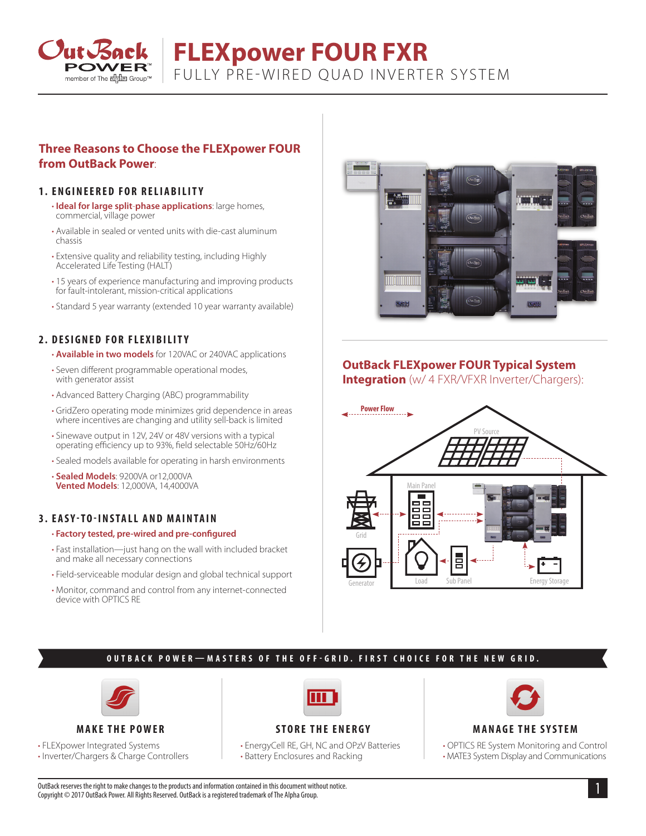

# **FLEXpower FOUR FXR** FULLY PRE-WIRED QUAD INVERTER SYSTEM

## **Three Reasons to Choose the FLEXpower FOUR from OutBack Power**:

#### **1. ENGINEERED FOR RELIABILITY**

- **Ideal for large split**-**phase applications**: large homes, commercial, village power
- Available in sealed or vented units with die-cast aluminum chassis
- Extensive quality and reliability testing, including Highly Accelerated Life Testing (HALT)
- 15 years of experience manufacturing and improving products for fault-intolerant, mission-critical applications
- Standard 5 year warranty (extended 10 year warranty available)

#### **2. DESIGNED FOR FLEXIBILITY**

- **Available in two models** for 120VAC or 240VAC applications
- Seven different programmable operational modes, with generator assist
- Advanced Battery Charging (ABC) programmability
- GridZero operating mode minimizes grid dependence in areas where incentives are changing and utility sell-back is limited
- Sinewave output in 12V, 24V or 48V versions with a typical operating efficiency up to 93%, field selectable 50Hz/60Hz
- Sealed models available for operating in harsh environments

• **Sealed Models**: 9200VA or12,000VA **Vented Models**: 12,000VA, 14,4000VA

## **3. EASY-TO-INSTALL AND MAINTAIN**

#### • **Factory tested, pre-wired and pre-configured**

- Fast installation—just hang on the wall with included bracket and make all necessary connections
- Field-serviceable modular design and global technical support
- Monitor, command and control from any internet-connected device with OPTICS RE



## **OutBack FLEXpower FOUR Typical System**

**Integration** (w/ 4 FXR/VFXR Inverter/Chargers):



#### **OUTBACK POWER—MASTERS OF THE OFF-GRID. FIRST CHOICE FOR THE NEW GRID.**



#### **MAKE THE POWER**

• FLEXpower Integrated Systems

• Inverter/Chargers & Charge Controllers



## **STORE THE ENERGY**

• EnergyCell RE, GH, NC and OPzV Batteries • Battery Enclosures and Racking



#### **MANAGE THE SYSTEM**

• OPTICS RE System Monitoring and Control • MATE3 System Display and Communications

1 OutBack reserves the right to make changes to the products and information contained in this document without notice. Copyright © 2017 OutBack Power. All Rights Reserved. OutBack is a registered trademark of The Alpha Group.